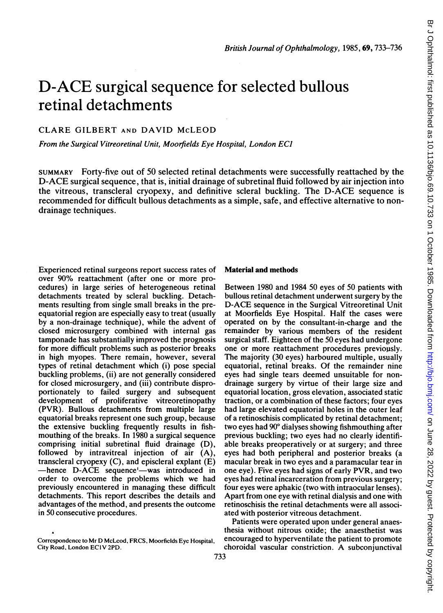# D-ACE surgical sequence for selected bullous retinal detachments

## CLARE GILBERT AND DAVID McLEOD

From the Surgical Vitreoretinal Unit, Moorfields Eye Hospital, London ECI

SUMMARY Forty-five out of 50 selected retinal detachments were successfully reattached by the D-ACE surgical sequence, that is, initial drainage of subretinal fluid followed by air injection into the vitreous, transcleral cryopexy, and definitive scleral buckling. The D-ACE sequence is recommended for difficult bullous detachments as a simple, safe, and effective alternative to nondrainage techniques.

Experienced retinal surgeons report success rates of over 90% reattachment (after one or more procedures) in large series of heterogeneous retinal detachments treated by scleral buckling. Detachments resulting from single small breaks in the preequatorial region are especially easy to treat (usually by a non-drainage technique), while the advent of closed microsurgery combined with internal gas tamponade has substantially improved the prognosis for more difficult problems such as posterior breaks in high myopes. There remain, however, several types of retinal detachment which (i) pose special buckling problems, (ii) are not generally considered for closed microsurgery, and (iii) contribute disproportionately to failed surgery and subsequent development of proliferative vitreoretinopathy (PVR). Bullous detachments from multiple large equatorial breaks represent one such group, because the extensive buckling frequently results in fishmouthing of the breaks. In 1980 a surgical sequence comprising initial subretinal fluid drainage (D), followed by intravitreal injection of air (A), transcleral cryopexy  $(C)$ , and episcleral explant  $(E)$ -hence D-ACE sequence'-was introduced in order to overcome the problems which we had previously encountered in managing these difficult detachments. This report describes the details and advantages of the method, and presents the outcome in 50 consecutive procedures.

#### Material and methods

Between 1980 and 1984 50 eyes of 50 patients with bullous retinal detachment underwent surgery by the D-ACE sequence in the Surgical Vitreoretinal Unit at Moorfields Eye Hospital. Half the cases were operated on by the consultant-in-charge and the remainder by various members of the resident surgical staff. Eighteen of the 50 eyes had undergone one or more reattachment procedures previously. The majority (30 eyes) harboured multiple, usually equatorial, retinal breaks. Of the remainder nine eyes had single tears deemed unsuitable for nondrainage surgery by virtue of their large size and equatorial location, gross elevation, associated static traction, or a combination of these factors; four eyes had large elevated equatorial holes in the outer leaf of a retinoschisis complicated by retinal detachment; two eyes had 90° dialyses showing fishmouthing after previous buckling; two eyes had no clearly identifiable breaks preoperatively or at surgery; and three eyes had both peripheral and posterior breaks (a macular break in two eyes and a paramacular tear in one eye). Five eyes had signs of early PVR, and two eyes had retinal incarceration from previous surgery; four eyes were aphakic (two with intraocular lenses). Apart from one eye with retinal dialysis and one with retinoschisis the retinal detachments were all associated with posterior vitreous detachment.

Patients were operated upon under general anaesthesia without nitrous oxide; the anaesthetist was encouraged to hyperventilate the patient to promote choroidal vascular constriction. A subconjunctival

Corrcspondencc to Mr D McLcod, FRCS, Moorficids Eyc Hospital, City Road, London EC1 V 2PD.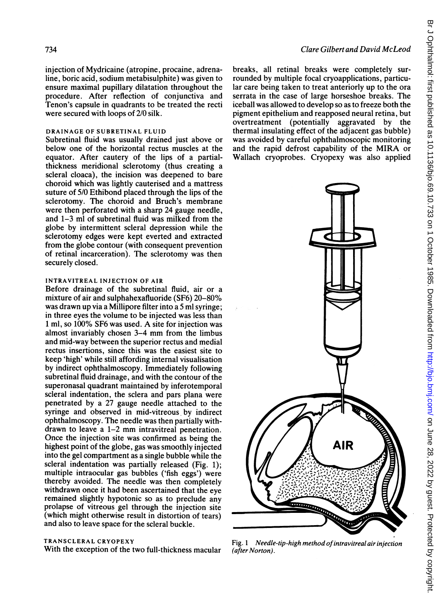injection of Mydricaine (atropine, procaine, adrena-

line, boric acid, sodium metabisulphite) was given to ensure maximal pupillary dilatation throughout the procedure. After reflection of conjunctiva and Tenon's capsule in quadrants to be treated the recti were secured with loops of 2/0 silk.

#### DRAINAGE OF SUBRETINAL FLUID

Subretinal fluid was usually drained just above or below one of the horizontal rectus muscles at the equator. After cautery of the lips of a partialthickness meridional sclerotomy (thus creating a scleral cloaca), the incision was deepened to bare choroid which was lightly cauterised and a mattress suture of 5/0 Ethibond placed through the lips of the sclerotomy. The choroid and Bruch's membrane were then perforated with a sharp 24 gauge needle, and 1-3 ml of subretinal fluid was milked from the globe by intermittent scleral depression while the sclerotomy edges were kept everted and extracted from the globe contour (with consequent prevention of retinal incarceration). The sclerotomy was then securely closed.

#### INTRAVITREAL INJECTION OF AIR

Before drainage of the subretinal fluid, air or a mixture of air and sulphahexafluoride (SF6) 20-80% was drawn up via a Millipore filter into a 5 ml syringe; in three eyes the volume to be injected was less than <sup>1</sup> ml, so 100% SF6 was used. A site for injection was almost invariably chosen 3-4 mm from the limbus and mid-way between the superior rectus and medial rectus insertions, since this was the easiest site to keep 'high' while still affording internal visualisation by indirect ophthalmoscopy. Immediately following subretinal fluid drainage, and with the contour of the superonasal quadrant maintained by inferotemporal scleral indentation, the sclera and pars plana were penetrated by a 27 gauge needle attached to the syringe and observed in mid-vitreous, by indirect ophthalmoscopy. The needle was then partially withdrawn to leave <sup>a</sup> 1-2 mm intravitreal penetration. Once the injection site was confirmed as being the highest point of the globe, gas was smoothly injected into the gel compartment as a single bubble while the scleral indentation was partially released (Fig. 1); multiple intraocular gas bubbles ('fish eggs') were thereby avoided. The needle was then completely withdrawn once it had been ascertained that the eye remained slightly hypotonic so as to preclude any prolapse of vitreous gel through the injection site (which might otherwise result in distortion of tears) and also to leave space for the scleral buckle.

#### TRANSCLERAL CRYOPEXY

With the exception of the two full-thickness macular

#### Clare Gilbert and David McLeod

breaks, all retinal breaks were completely surrounded by multiple focal cryoapplications, particular care being taken to treat anteriorly up to the ora serrata in the case of large horseshoe breaks. The iceball was allowed to develop so as to freeze both the pigment epithelium and reapposed neural retina, but overtreatment (potentially aggravated by the thermal insulating effect of the adjacent gas bubble) was avoided by careful ophthalmoscopic monitoring and the rapid defrost capability of the MIRA or Wallach cryoprobes. Cryopexy was also applied



Fig. 1 Needle-tip-high method of intravitreal air injection (after Norton).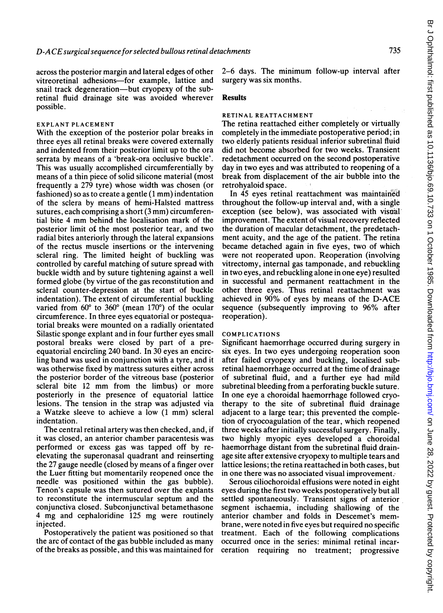across the posterior margin and lateral edges of other vitreoretinal adhesions-for example, lattice and snail track degeneration-but cryopexy of the subretinal fluid drainage site was avoided wherever possible.

#### EXPLANT PLACEMENT

With the exception of the posterior polar breaks in three eyes all retinal breaks were covered externally and indented from their posterior limit up to the ora serrata by means of a 'break-ora occlusive buckle'. This was usually accomplished circumferentially by means of a thin piece of solid silicone material (most frequently a 279 tyre) whose width was chosen (or fashioned) so as to create <sup>a</sup> gentle (1 mm) indentation of the sclera by means of hemi-Halsted mattress sutures, each comprising <sup>a</sup> short (3 mm) circumferential bite <sup>4</sup> mm behind the localisation mark of the posterior limit of the most posterior tear, and two radial bites anteriorly through the lateral expansions of the rectus muscle insertions or the intervening scleral ring. The limited height of buckling was controlled by careful matching of suture spread with buckle width and by suture tightening against a well formed globe (by virtue of the gas reconstitution and scleral counter-depression at the start of buckle indentation). The extent of circumferential buckling varied from  $60^{\circ}$  to  $360^{\circ}$  (mean  $170^{\circ}$ ) of the ocular circumference. In three eyes equatorial or postequatorial breaks were mounted on a radially orientated Silastic sponge explant and in four further eyes small postoral breaks were closed by part of a preequatorial encircling 240 band. In 30 eyes an encircling band was used in conjunction with a tyre, and it was otherwise fixed by mattress sutures either across the posterior border of the vitreous base (posterior scleral bite <sup>12</sup> mm from the limbus) or more posteriorly in the presence of equatorial lattice lesions. The tension in the strap was adjusted via <sup>a</sup> Watzke sleeve to achieve <sup>a</sup> low (1 mm) scleral indentation.

The central retinal artery was then checked, and, if it was closed, an anterior chamber paracentesis was performed or excess gas was tapped off by reelevating the superonasal quadrant and reinserting the 27 gauge needle (closed by means of a finger over the Luer fitting but momentarily reopened once the needle was positioned within the gas bubble). Tenon's capsule was then sutured over the explants to reconstitute the intermuscular septum and the conjunctiva closed. Subconjunctival betamethasone 4 mg and cephaloridine <sup>125</sup> mg were routinely injected.

Postoperatively the patient was positioned so that the arc of contact of the gas bubble included as many of the breaks as possible, and this was maintained for

2-6 days. The minimum follow-up interval after surgery was six months.

#### Results

### RETINAL REATTACHMENT

The retina reattached either completely or virtually completely in the immediate postoperative period; in two elderly patients residual inferior subretinal fluid did not become absorbed for two weeks. Transient redetachment occurred on the second postoperative day in two eyes and was attributed to reopening of a break from displacement of the air bubble into the retrohyaloid space.

In 45 eyes retinal reattachment was maintained throughout the follow-up interval and, with a single exception (see below), was associated with visoal improvement. The extent of visual recovery reflected the duration of macular detachment, the predetachment acuity, and the age of the patient. The retina became detached again in five eyes, two of which were not reoperated upon. Reoperation (involving vitrectomy, internal gas tamponade, and rebuckling in two eyes, and rebuckling alone in one eye) resulted in successful and permanent reattachment in the other three eyes. Thus retinal reattachment was achieved in 90% of eyes by means of the D-ACE sequence (subsequently improving to 96% after reoperation).

#### COMPLICATIONS

Significant haemorrhage occurred during surgery in six eyes. In two eyes undergoing reoperation soon after failed cryopexy and buckling, localised subretinal haemorrhage occurred at the time of drainage of subretinal fluid, and a further eye had mild subretinal bleeding from a perforating buckle suture. In one eye a choroidal haemorrhage followed cryotherapy to the site of subretinal fluid drainage adjacent to a large tear; this prevented the completion of cryocoagulation of the tear, which reopened three weeks after initially successful surgery. Finally, two highly myopic eyes developed a choroidal haemorrhage distant from the subretinal fluid drainage site after extensive cryopexy to multiple tears and lattice lesions; the retina reattached in both cases, but in one there was no associated visual improvement.

Serous ciliochoroidal effusions were noted in eight eyes during the first two weeks postoperatively but all settled spontaneously. Transient signs of anterior segment ischaemia, including shallowing of the anterior chamber and folds in Descemet's membrane, were noted in five eyes but required no specific treatment. Each of the following complications occurred once in the series: minimal retinal incarceration requiring no treatment; progressive